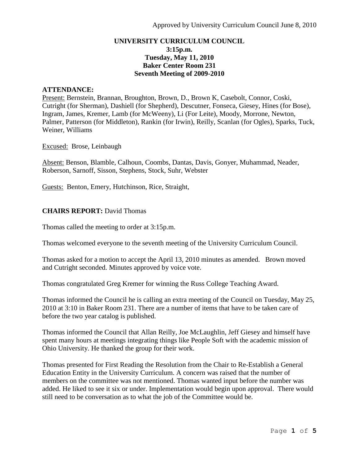# **UNIVERSITY CURRICULUM COUNCIL 3:15p.m. Tuesday, May 11, 2010 Baker Center Room 231 Seventh Meeting of 2009-2010**

#### **ATTENDANCE:**

Present: Bernstein, Brannan, Broughton, Brown, D., Brown K, Casebolt, Connor, Coski, Cutright (for Sherman), Dashiell (for Shepherd), Descutner, Fonseca, Giesey, Hines (for Bose), Ingram, James, Kremer, Lamb (for McWeeny), Li (For Leite), Moody, Morrone, Newton, Palmer, Patterson (for Middleton), Rankin (for Irwin), Reilly, Scanlan (for Ogles), Sparks, Tuck, Weiner, Williams

Excused: Brose, Leinbaugh

Absent: Benson, Blamble, Calhoun, Coombs, Dantas, Davis, Gonyer, Muhammad, Neader, Roberson, Sarnoff, Sisson, Stephens, Stock, Suhr, Webster

Guests: Benton, Emery, Hutchinson, Rice, Straight,

## **CHAIRS REPORT:** David Thomas

Thomas called the meeting to order at 3:15p.m.

Thomas welcomed everyone to the seventh meeting of the University Curriculum Council.

Thomas asked for a motion to accept the April 13, 2010 minutes as amended. Brown moved and Cutright seconded. Minutes approved by voice vote.

Thomas congratulated Greg Kremer for winning the Russ College Teaching Award.

Thomas informed the Council he is calling an extra meeting of the Council on Tuesday, May 25, 2010 at 3:10 in Baker Room 231. There are a number of items that have to be taken care of before the two year catalog is published.

Thomas informed the Council that Allan Reilly, Joe McLaughlin, Jeff Giesey and himself have spent many hours at meetings integrating things like People Soft with the academic mission of Ohio University. He thanked the group for their work.

Thomas presented for First Reading the Resolution from the Chair to Re-Establish a General Education Entity in the University Curriculum. A concern was raised that the number of members on the committee was not mentioned. Thomas wanted input before the number was added. He liked to see it six or under. Implementation would begin upon approval. There would still need to be conversation as to what the job of the Committee would be.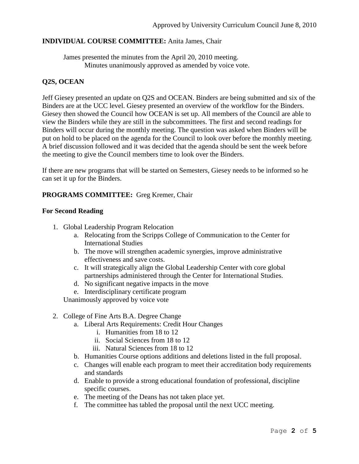# **INDIVIDUAL COURSE COMMITTEE:** Anita James, Chair

James presented the minutes from the April 20, 2010 meeting. Minutes unanimously approved as amended by voice vote.

# **Q2S, OCEAN**

Jeff Giesey presented an update on Q2S and OCEAN. Binders are being submitted and six of the Binders are at the UCC level. Giesey presented an overview of the workflow for the Binders. Giesey then showed the Council how OCEAN is set up. All members of the Council are able to view the Binders while they are still in the subcommittees. The first and second readings for Binders will occur during the monthly meeting. The question was asked when Binders will be put on hold to be placed on the agenda for the Council to look over before the monthly meeting. A brief discussion followed and it was decided that the agenda should be sent the week before the meeting to give the Council members time to look over the Binders.

If there are new programs that will be started on Semesters, Giesey needs to be informed so he can set it up for the Binders.

## **PROGRAMS COMMITTEE:** Greg Kremer, Chair

## **For Second Reading**

- 1. Global Leadership Program Relocation
	- a. Relocating from the Scripps College of Communication to the Center for International Studies
	- b. The move will strengthen academic synergies, improve administrative effectiveness and save costs.
	- c. It will strategically align the Global Leadership Center with core global partnerships administered through the Center for International Studies.
	- d. No significant negative impacts in the move
	- e. Interdisciplinary certificate program

Unanimously approved by voice vote

## 2. College of Fine Arts B.A. Degree Change

- a. Liberal Arts Requirements: Credit Hour Changes
	- i. Humanities from 18 to 12
	- ii. Social Sciences from 18 to 12
	- iii. Natural Sciences from 18 to 12
- b. Humanities Course options additions and deletions listed in the full proposal.
- c. Changes will enable each program to meet their accreditation body requirements and standards
- d. Enable to provide a strong educational foundation of professional, discipline specific courses.
- e. The meeting of the Deans has not taken place yet.
- f. The committee has tabled the proposal until the next UCC meeting.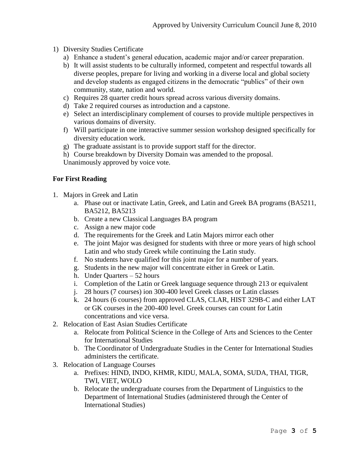- 1) Diversity Studies Certificate
	- a) Enhance a student's general education, academic major and/or career preparation.
	- b) It will assist students to be culturally informed, competent and respectful towards all diverse peoples, prepare for living and working in a diverse local and global society and develop students as engaged citizens in the democratic "publics" of their own community, state, nation and world.
	- c) Requires 28 quarter credit hours spread across various diversity domains.
	- d) Take 2 required courses as introduction and a capstone.
	- e) Select an interdisciplinary complement of courses to provide multiple perspectives in various domains of diversity.
	- f) Will participate in one interactive summer session workshop designed specifically for diversity education work.
	- g) The graduate assistant is to provide support staff for the director.
	- h) Course breakdown by Diversity Domain was amended to the proposal.

Unanimously approved by voice vote.

# **For First Reading**

- 1. Majors in Greek and Latin
	- a. Phase out or inactivate Latin, Greek, and Latin and Greek BA programs (BA5211, BA5212, BA5213
	- b. Create a new Classical Languages BA program
	- c. Assign a new major code
	- d. The requirements for the Greek and Latin Majors mirror each other
	- e. The joint Major was designed for students with three or more years of high school Latin and who study Greek while continuing the Latin study.
	- f. No students have qualified for this joint major for a number of years.
	- g. Students in the new major will concentrate either in Greek or Latin.
	- h. Under Quarters 52 hours
	- i. Completion of the Latin or Greek language sequence through 213 or equivalent
	- j. 28 hours (7 courses) ion 300-400 level Greek classes or Latin classes
	- k. 24 hours (6 courses) from approved CLAS, CLAR, HIST 329B-C and either LAT or GK courses in the 200-400 level. Greek courses can count for Latin concentrations and vice versa.
- 2. Relocation of East Asian Studies Certificate
	- a. Relocate from Political Science in the College of Arts and Sciences to the Center for International Studies
	- b. The Coordinator of Undergraduate Studies in the Center for International Studies administers the certificate.
- 3. Relocation of Language Courses
	- a. Prefixes: HIND, INDO, KHMR, KIDU, MALA, SOMA, SUDA, THAI, TIGR, TWI, VIET, WOLO
	- b. Relocate the undergraduate courses from the Department of Linguistics to the Department of International Studies (administered through the Center of International Studies)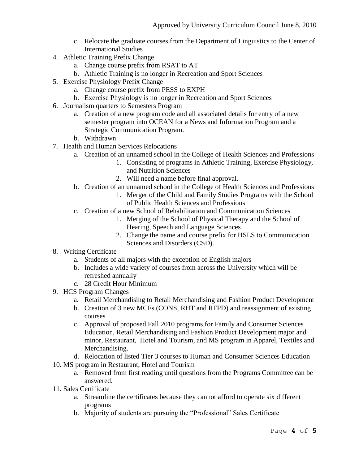- c. Relocate the graduate courses from the Department of Linguistics to the Center of International Studies
- 4. Athletic Training Prefix Change
	- a. Change course prefix from RSAT to AT
	- b. Athletic Training is no longer in Recreation and Sport Sciences
- 5. Exercise Physiology Prefix Change
	- a. Change course prefix from PESS to EXPH
	- b. Exercise Physiology is no longer in Recreation and Sport Sciences
- 6. Journalism quarters to Semesters Program
	- a. Creation of a new program code and all associated details for entry of a new semester program into OCEAN for a News and Information Program and a Strategic Communication Program.
	- b. Withdrawn
- 7. Health and Human Services Relocations
	- a. Creation of an unnamed school in the College of Health Sciences and Professions
		- 1. Consisting of programs in Athletic Training, Exercise Physiology, and Nutrition Sciences
		- 2. Will need a name before final approval.
	- b. Creation of an unnamed school in the College of Health Sciences and Professions
		- 1. Merger of the Child and Family Studies Programs with the School of Public Health Sciences and Professions
	- c. Creation of a new School of Rehabilitation and Communication Sciences
		- 1. Merging of the School of Physical Therapy and the School of Hearing, Speech and Language Sciences
		- 2. Change the name and course prefix for HSLS to Communication Sciences and Disorders (CSD).
- 8. Writing Certificate
	- a. Students of all majors with the exception of English majors
	- b. Includes a wide variety of courses from across the University which will be refreshed annually
	- c. 28 Credit Hour Minimum
- 9. HCS Program Changes
	- a. Retail Merchandising to Retail Merchandising and Fashion Product Development
	- b. Creation of 3 new MCFs (CONS, RHT and RFPD) and reassignment of existing courses
	- c. Approval of proposed Fall 2010 programs for Family and Consumer Sciences Education, Retail Merchandising and Fashion Product Development major and minor, Restaurant, Hotel and Tourism, and MS program in Apparel, Textiles and Merchandising.
	- d. Relocation of listed Tier 3 courses to Human and Consumer Sciences Education
- 10. MS program in Restaurant, Hotel and Tourism
	- a. Removed from first reading until questions from the Programs Committee can be answered.
- 11. Sales Certificate
	- a. Streamline the certificates because they cannot afford to operate six different programs
	- b. Majority of students are pursuing the "Professional" Sales Certificate